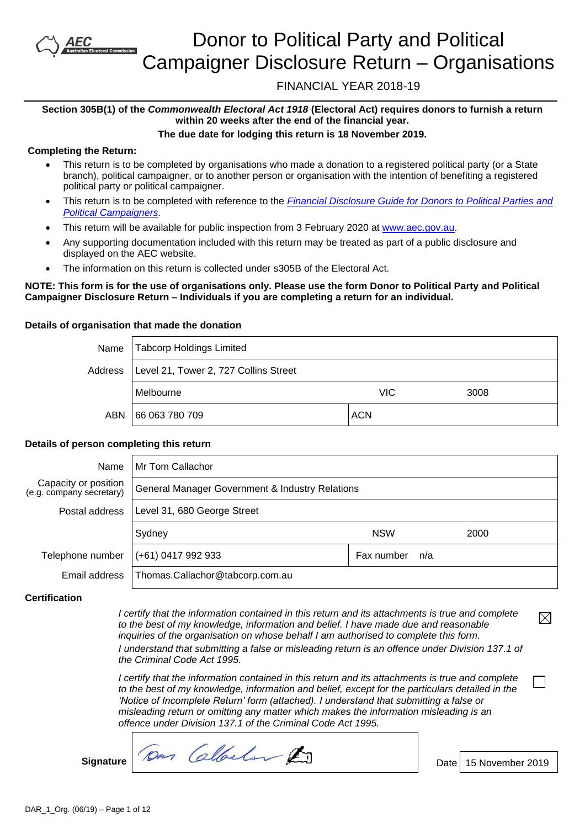# Donor to Political Party and Political Campaigner Disclosure Return – Organisations

FINANCIAL YEAR 2018-19

### **Section 305B(1) of the** *Commonwealth Electoral Act 1918* **(Electoral Act) requires donors to furnish a return within 20 weeks after the end of the financial year.**

**The due date for lodging this return is 18 November 2019.**

### **Completing the Return:**

- This return is to be completed by organisations who made a donation to a registered political party (or a State branch), political campaigner, or to another person or organisation with the intention of benefiting a registered political party or political campaigner.
- This return is to be completed with reference to the *[Financial Disclosure Guide for Donors to Political Parties](https://www.aec.gov.au/Parties_and_Representatives/financial_disclosure/guides/donors/index.htm) and [Political Campaigners.](https://www.aec.gov.au/Parties_and_Representatives/financial_disclosure/guides/donors/index.htm)*
- This return will be available for public inspection from 3 February 2020 at [www.aec.gov.au.](http://www.aec.gov.au/)
- Any supporting documentation included with this return may be treated as part of a public disclosure and displayed on the AEC website.
- The information on this return is collected under s305B of the Electoral Act.

### **NOTE: This form is for the use of organisations only. Please use the form Donor to Political Party and Political Campaigner Disclosure Return – Individuals if you are completing a return for an individual.**

### **Details of organisation that made the donation**

| Name    | Tabcorp Holdings Limited              |            |      |
|---------|---------------------------------------|------------|------|
| Address | Level 21, Tower 2, 727 Collins Street |            |      |
|         | Melbourne                             | VIC        | 3008 |
| ABN     | 66 063 780 709                        | <b>ACN</b> |      |

### **Details of person completing this return**

| Name                                             | Mr Tom Callachor                                |                   |      |  |
|--------------------------------------------------|-------------------------------------------------|-------------------|------|--|
| Capacity or position<br>(e.g. company secretary) | General Manager Government & Industry Relations |                   |      |  |
| Postal address                                   | Level 31, 680 George Street                     |                   |      |  |
|                                                  | Sydney                                          | <b>NSW</b>        | 2000 |  |
| Telephone number                                 | $(+61)$ 0417 992 933                            | Fax number<br>n/a |      |  |
| Email address                                    | Thomas.Callachor@tabcorp.com.au                 |                   |      |  |

### **Certification**

*I* certify that the information contained in this return and its attachments is true and complete *to the best of my knowledge, information and belief. I have made due and reasonable inquiries of the organisation on whose behalf I am authorised to complete this form.*

*I understand that submitting a false or misleading return is an offence under Division 137.1 of the Criminal Code Act 1995.*

*I certify that the information contained in this return and its attachments is true and complete to the best of my knowledge, information and belief, except for the particulars detailed in the 'Notice of Incomplete Return' form (attached). I understand that submitting a false or misleading return or omitting any matter which makes the information misleading is an offence under Division 137.1 of the Criminal Code Act 1995.*

Signature *Dan Callberton* 2019

 $\boxtimes$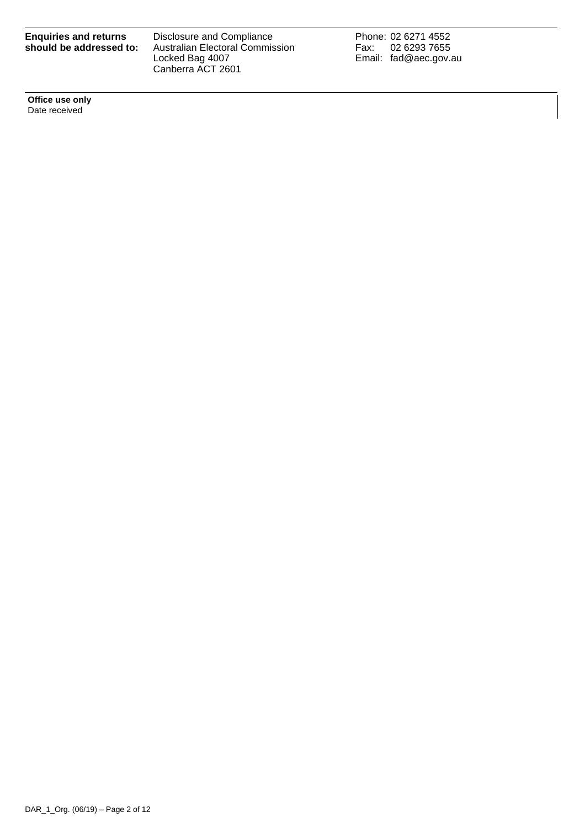| <b>Enquiries and returns</b> |  |  |
|------------------------------|--|--|
| should be addressed to:      |  |  |

Disclosure and Compliance Australian Electoral Commission Locked Bag 4007 Canberra ACT 2601

Phone: 02 6271 4552 Fax: 02 6293 7655 Email: fad@aec.gov.au

**Office use only** Date received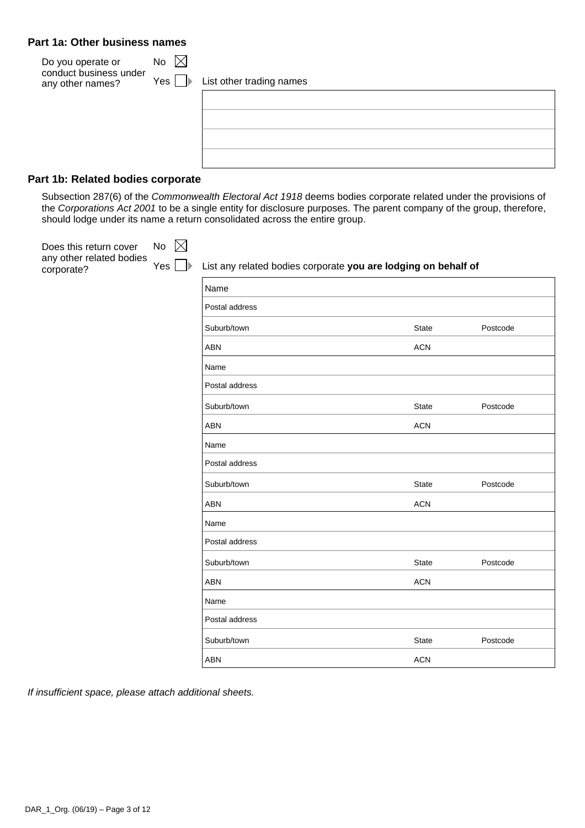### **Part 1a: Other business names**

| Do you operate or                          | No  |                          |
|--------------------------------------------|-----|--------------------------|
| conduct business under<br>any other names? | Yes | List other trading names |
|                                            |     |                          |
|                                            |     |                          |
|                                            |     |                          |
|                                            |     |                          |
|                                            |     |                          |

### **Part 1b: Related bodies corporate**

Subsection 287(6) of the *Commonwealth Electoral Act 1918* deems bodies corporate related under the provisions of the *Corporations Act 2001* to be a single entity for disclosure purposes. The parent company of the group, therefore, should lodge under its name a return consolidated across the entire group.

| Does this return cover                 | $\boxtimes$<br>No |                                                                |              |          |  |  |
|----------------------------------------|-------------------|----------------------------------------------------------------|--------------|----------|--|--|
| any other related bodies<br>corporate? | Yes               | List any related bodies corporate you are lodging on behalf of |              |          |  |  |
|                                        |                   | Name                                                           |              |          |  |  |
|                                        |                   | Postal address                                                 |              |          |  |  |
|                                        |                   | Suburb/town                                                    | <b>State</b> | Postcode |  |  |
|                                        |                   | <b>ABN</b>                                                     | <b>ACN</b>   |          |  |  |
|                                        |                   | Name                                                           |              |          |  |  |
|                                        |                   | Postal address                                                 |              |          |  |  |
|                                        |                   | Suburb/town                                                    | <b>State</b> | Postcode |  |  |
|                                        |                   | <b>ABN</b>                                                     | <b>ACN</b>   |          |  |  |
|                                        |                   | Name                                                           |              |          |  |  |
|                                        |                   | Postal address                                                 |              |          |  |  |
|                                        |                   | Suburb/town                                                    | <b>State</b> | Postcode |  |  |
|                                        |                   | ABN                                                            | <b>ACN</b>   |          |  |  |
|                                        |                   | Name                                                           |              |          |  |  |
|                                        |                   | Postal address                                                 |              |          |  |  |
|                                        |                   | Suburb/town                                                    | <b>State</b> | Postcode |  |  |
|                                        |                   | ABN                                                            | <b>ACN</b>   |          |  |  |
|                                        |                   | Name                                                           |              |          |  |  |
|                                        |                   | Postal address                                                 |              |          |  |  |
|                                        |                   | Suburb/town                                                    | <b>State</b> | Postcode |  |  |
|                                        |                   | ABN                                                            | <b>ACN</b>   |          |  |  |

*If insufficient space, please attach additional sheets.*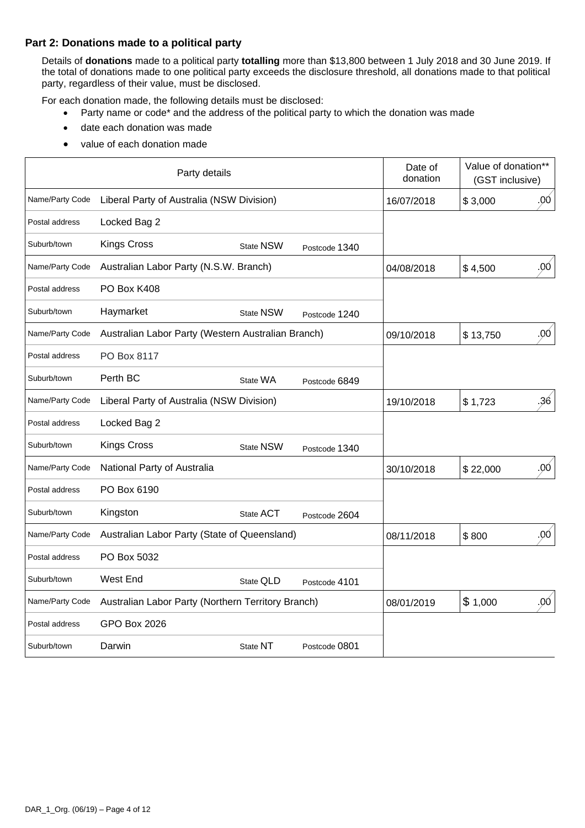### **Part 2: Donations made to a political party**

Details of **donations** made to a political party **totalling** more than \$13,800 between 1 July 2018 and 30 June 2019. If the total of donations made to one political party exceeds the disclosure threshold, all donations made to that political party, regardless of their value, must be disclosed.

For each donation made, the following details must be disclosed:

- Party name or code\* and the address of the political party to which the donation was made
- date each donation was made
- value of each donation made

|                 | Party details                                      |                  |               | Date of<br>donation | Value of donation**<br>(GST inclusive) |
|-----------------|----------------------------------------------------|------------------|---------------|---------------------|----------------------------------------|
| Name/Party Code | Liberal Party of Australia (NSW Division)          |                  |               | 16/07/2018          | .00<br>\$3,000                         |
| Postal address  | Locked Bag 2                                       |                  |               |                     |                                        |
| Suburb/town     | <b>Kings Cross</b>                                 | <b>State NSW</b> | Postcode 1340 |                     |                                        |
| Name/Party Code | Australian Labor Party (N.S.W. Branch)             |                  |               | 04/08/2018          | .00<br>\$4,500                         |
| Postal address  | PO Box K408                                        |                  |               |                     |                                        |
| Suburb/town     | Haymarket                                          | <b>State NSW</b> | Postcode 1240 |                     |                                        |
| Name/Party Code | Australian Labor Party (Western Australian Branch) |                  |               | 09/10/2018          | .00<br>\$13,750                        |
| Postal address  | PO Box 8117                                        |                  |               |                     |                                        |
| Suburb/town     | Perth BC                                           | State WA         | Postcode 6849 |                     |                                        |
| Name/Party Code | Liberal Party of Australia (NSW Division)          |                  |               | 19/10/2018          | .36<br>\$1,723                         |
| Postal address  | Locked Bag 2                                       |                  |               |                     |                                        |
| Suburb/town     | <b>Kings Cross</b>                                 | <b>State NSW</b> | Postcode 1340 |                     |                                        |
| Name/Party Code | National Party of Australia                        |                  |               | 30/10/2018          | .00<br>\$22,000                        |
| Postal address  | PO Box 6190                                        |                  |               |                     |                                        |
| Suburb/town     | Kingston                                           | State ACT        | Postcode 2604 |                     |                                        |
| Name/Party Code | Australian Labor Party (State of Queensland)       |                  |               | 08/11/2018          | .00 <sub>1</sub><br>\$800              |
| Postal address  | PO Box 5032                                        |                  |               |                     |                                        |
| Suburb/town     | West End                                           | State QLD        | Postcode 4101 |                     |                                        |
| Name/Party Code | Australian Labor Party (Northern Territory Branch) |                  |               | 08/01/2019          | \$1,000<br>.00                         |
| Postal address  | <b>GPO Box 2026</b>                                |                  |               |                     |                                        |
| Suburb/town     | Darwin                                             | State NT         | Postcode 0801 |                     |                                        |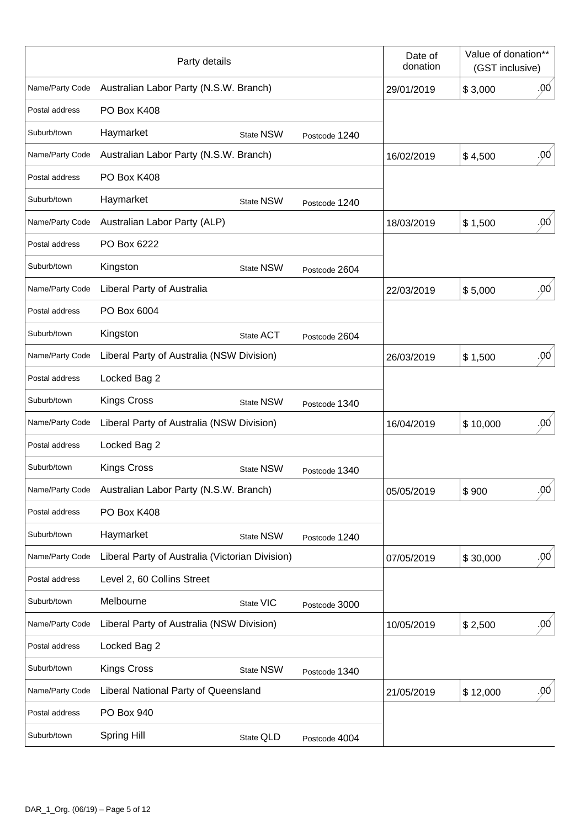|                 | Party details                                   |                  |               | Date of<br>donation | Value of donation**<br>(GST inclusive) |                  |
|-----------------|-------------------------------------------------|------------------|---------------|---------------------|----------------------------------------|------------------|
| Name/Party Code | Australian Labor Party (N.S.W. Branch)          |                  |               | 29/01/2019          | \$3,000                                | .00              |
| Postal address  | PO Box K408                                     |                  |               |                     |                                        |                  |
| Suburb/town     | Haymarket                                       | State NSW        | Postcode 1240 |                     |                                        |                  |
| Name/Party Code | Australian Labor Party (N.S.W. Branch)          |                  |               | 16/02/2019          | \$4,500                                | .00 <sub>1</sub> |
| Postal address  | PO Box K408                                     |                  |               |                     |                                        |                  |
| Suburb/town     | Haymarket                                       | <b>State NSW</b> | Postcode 1240 |                     |                                        |                  |
| Name/Party Code | Australian Labor Party (ALP)                    |                  |               | 18/03/2019          | \$1,500                                | .00 <sub>1</sub> |
| Postal address  | PO Box 6222                                     |                  |               |                     |                                        |                  |
| Suburb/town     | Kingston                                        | <b>State NSW</b> | Postcode 2604 |                     |                                        |                  |
| Name/Party Code | Liberal Party of Australia                      |                  |               | 22/03/2019          | \$5,000                                | .00 <sub>1</sub> |
| Postal address  | PO Box 6004                                     |                  |               |                     |                                        |                  |
| Suburb/town     | Kingston                                        | State ACT        | Postcode 2604 |                     |                                        |                  |
| Name/Party Code | Liberal Party of Australia (NSW Division)       |                  |               | 26/03/2019          | \$1,500                                | .00 <sub>0</sub> |
| Postal address  | Locked Bag 2                                    |                  |               |                     |                                        |                  |
| Suburb/town     | <b>Kings Cross</b>                              | <b>State NSW</b> | Postcode 1340 |                     |                                        |                  |
| Name/Party Code | Liberal Party of Australia (NSW Division)       |                  |               | 16/04/2019          | \$10,000                               | .00 <sub>1</sub> |
| Postal address  | Locked Bag 2                                    |                  |               |                     |                                        |                  |
| Suburb/town     | <b>Kings Cross</b>                              | <b>State NSW</b> | Postcode 1340 |                     |                                        |                  |
| Name/Party Code | Australian Labor Party (N.S.W. Branch)          |                  |               | 05/05/2019          | \$900                                  | .00 <sub>1</sub> |
| Postal address  | PO Box K408                                     |                  |               |                     |                                        |                  |
| Suburb/town     | Haymarket                                       | State NSW        | Postcode 1240 |                     |                                        |                  |
| Name/Party Code | Liberal Party of Australia (Victorian Division) |                  |               | 07/05/2019          | \$30,000                               | .90 <sub>1</sub> |
| Postal address  | Level 2, 60 Collins Street                      |                  |               |                     |                                        |                  |
| Suburb/town     | Melbourne                                       | State VIC        | Postcode 3000 |                     |                                        |                  |
| Name/Party Code | Liberal Party of Australia (NSW Division)       |                  |               | 10/05/2019          | \$2,500                                | .00 <sub>1</sub> |
| Postal address  | Locked Bag 2                                    |                  |               |                     |                                        |                  |
| Suburb/town     | <b>Kings Cross</b>                              | <b>State NSW</b> | Postcode 1340 |                     |                                        |                  |
| Name/Party Code | Liberal National Party of Queensland            |                  |               | 21/05/2019          | \$12,000                               | .00 <sub>1</sub> |
| Postal address  | PO Box 940                                      |                  |               |                     |                                        |                  |
| Suburb/town     | <b>Spring Hill</b>                              | State QLD        | Postcode 4004 |                     |                                        |                  |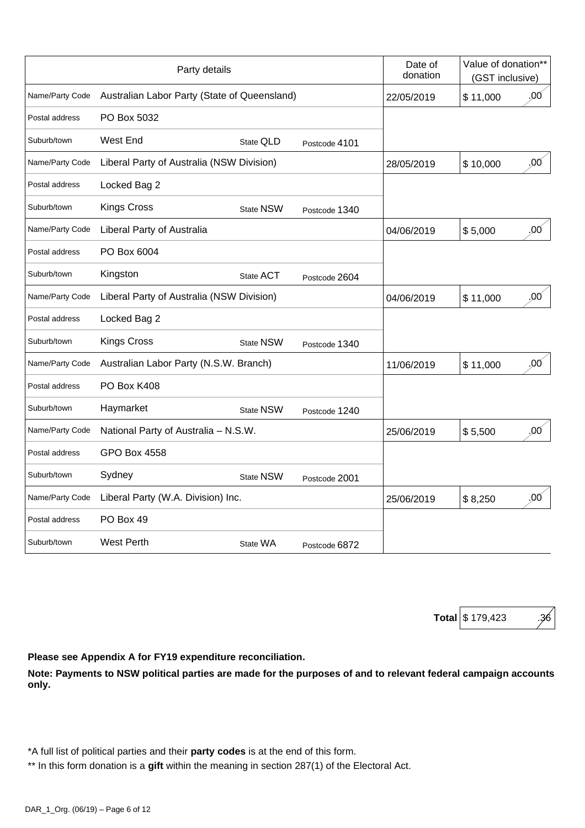|                 | Party details                                |                  |               | Date of<br>donation | Value of donation**<br>(GST inclusive) |
|-----------------|----------------------------------------------|------------------|---------------|---------------------|----------------------------------------|
| Name/Party Code | Australian Labor Party (State of Queensland) |                  |               | 22/05/2019          | .00<br>\$11,000                        |
| Postal address  | PO Box 5032                                  |                  |               |                     |                                        |
| Suburb/town     | West End                                     | State QLD        | Postcode 4101 |                     |                                        |
| Name/Party Code | Liberal Party of Australia (NSW Division)    |                  |               | 28/05/2019          | .00<br>\$10,000                        |
| Postal address  | Locked Bag 2                                 |                  |               |                     |                                        |
| Suburb/town     | <b>Kings Cross</b>                           | <b>State NSW</b> | Postcode 1340 |                     |                                        |
| Name/Party Code | Liberal Party of Australia                   |                  |               | 04/06/2019          | .00<br>\$5,000                         |
| Postal address  | PO Box 6004                                  |                  |               |                     |                                        |
| Suburb/town     | Kingston                                     | State ACT        | Postcode 2604 |                     |                                        |
| Name/Party Code | Liberal Party of Australia (NSW Division)    |                  |               | 04/06/2019          | .00<br>\$11,000                        |
| Postal address  | Locked Bag 2                                 |                  |               |                     |                                        |
| Suburb/town     | <b>Kings Cross</b>                           | <b>State NSW</b> | Postcode 1340 |                     |                                        |
| Name/Party Code | Australian Labor Party (N.S.W. Branch)       |                  |               | 11/06/2019          | .00<br>\$11,000                        |
| Postal address  | PO Box K408                                  |                  |               |                     |                                        |
| Suburb/town     | Haymarket                                    | State NSW        | Postcode 1240 |                     |                                        |
| Name/Party Code | National Party of Australia - N.S.W.         |                  |               | 25/06/2019          | .00<br>\$5,500                         |
| Postal address  | <b>GPO Box 4558</b>                          |                  |               |                     |                                        |
| Suburb/town     | Sydney                                       | <b>State NSW</b> | Postcode 2001 |                     |                                        |
| Name/Party Code | Liberal Party (W.A. Division) Inc.           |                  |               | 25/06/2019          | .00<br>\$8,250                         |
| Postal address  | PO Box 49                                    |                  |               |                     |                                        |
| Suburb/town     | <b>West Perth</b>                            | State WA         | Postcode 6872 |                     |                                        |

| Total \$ 179,423 |  |
|------------------|--|
|------------------|--|

**Please see Appendix A for FY19 expenditure reconciliation.**

**Note: Payments to NSW political parties are made for the purposes of and to relevant federal campaign accounts only.**

\*A full list of political parties and their **party codes** is at the end of this form.

\*\* In this form donation is a **gift** within the meaning in section 287(1) of the Electoral Act.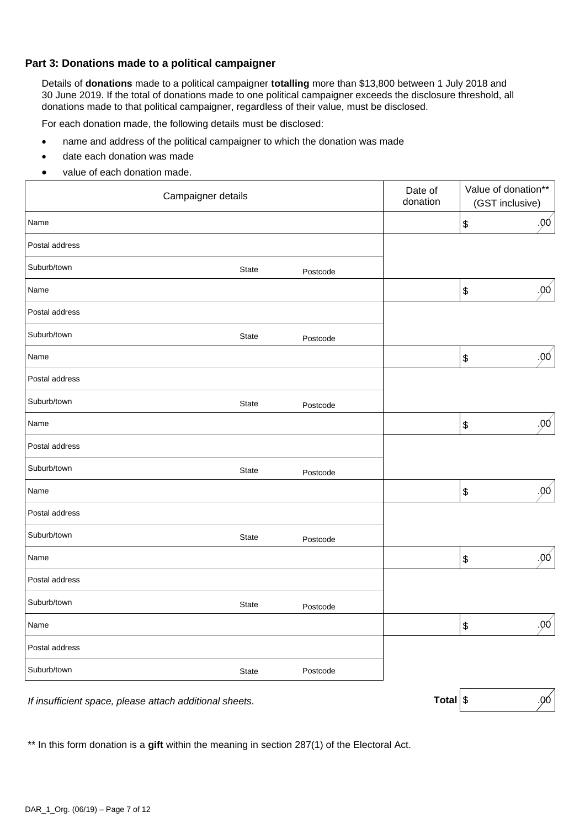### **Part 3: Donations made to a political campaigner**

Details of **donations** made to a political campaigner **totalling** more than \$13,800 between 1 July 2018 and 30 June 2019. If the total of donations made to one political campaigner exceeds the disclosure threshold, all donations made to that political campaigner, regardless of their value, must be disclosed.

For each donation made, the following details must be disclosed:

- name and address of the political campaigner to which the donation was made
- date each donation was made
- value of each donation made.

|                | Campaigner details |          | Date of<br>donation |                                           | Value of donation**<br>(GST inclusive) |
|----------------|--------------------|----------|---------------------|-------------------------------------------|----------------------------------------|
| Name           |                    |          |                     | $\, \, \raisebox{12pt}{$\scriptstyle \$}$ | .00                                    |
| Postal address |                    |          |                     |                                           |                                        |
| Suburb/town    | State              | Postcode |                     |                                           |                                        |
| Name           |                    |          |                     | $\boldsymbol{\$}$                         | .00                                    |
| Postal address |                    |          |                     |                                           |                                        |
| Suburb/town    | State              | Postcode |                     |                                           |                                        |
| Name           |                    |          |                     | $\boldsymbol{\$}$                         | .00 <sub>1</sub>                       |
| Postal address |                    |          |                     |                                           |                                        |
| Suburb/town    | State              | Postcode |                     |                                           |                                        |
| Name           |                    |          |                     | $\boldsymbol{\$}$                         | .00 <sub>1</sub>                       |
| Postal address |                    |          |                     |                                           |                                        |
| Suburb/town    | State              | Postcode |                     |                                           |                                        |
| Name           |                    |          |                     | $\, \, \raisebox{12pt}{$\scriptstyle \$}$ | .00 <sub>1</sub>                       |
| Postal address |                    |          |                     |                                           |                                        |
| Suburb/town    | <b>State</b>       | Postcode |                     |                                           |                                        |
| Name           |                    |          |                     | \$                                        | .00                                    |
| Postal address |                    |          |                     |                                           |                                        |
| Suburb/town    | State              | Postcode |                     |                                           |                                        |
| Name           |                    |          |                     | $\boldsymbol{\$}$                         | .90                                    |
| Postal address |                    |          |                     |                                           |                                        |
| Suburb/town    | State              | Postcode |                     |                                           |                                        |

*If insufficient space, please attach additional sheets.* **Total** \$ **Total** \$ .00

\*\* In this form donation is a **gift** within the meaning in section 287(1) of the Electoral Act.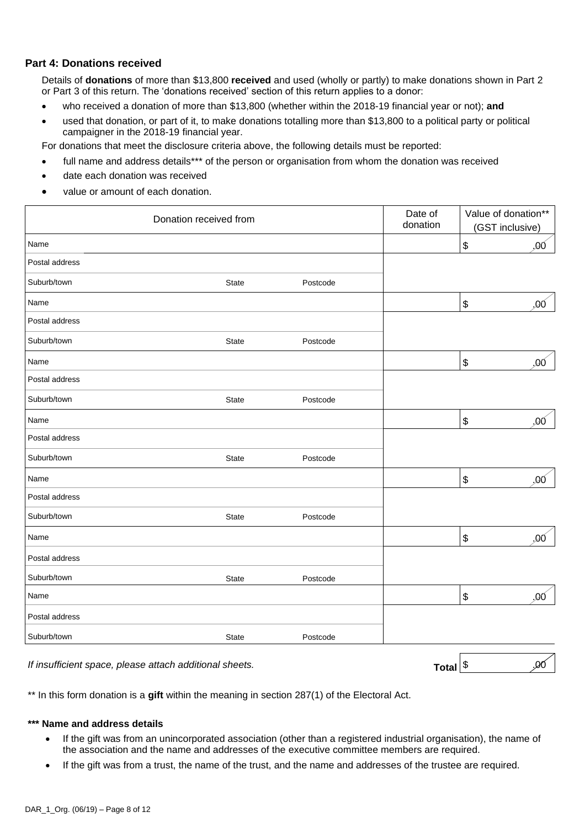### **Part 4: Donations received**

Details of **donations** of more than \$13,800 **received** and used (wholly or partly) to make donations shown in Part 2 or Part 3 of this return. The 'donations received' section of this return applies to a donor:

- who received a donation of more than \$13,800 (whether within the 2018-19 financial year or not); **and**
- used that donation, or part of it, to make donations totalling more than \$13,800 to a political party or political campaigner in the 2018-19 financial year.

For donations that meet the disclosure criteria above, the following details must be reported:

- full name and address details\*\*\* of the person or organisation from whom the donation was received
- date each donation was received
- value or amount of each donation.

| Donation received from |       |          | Date of<br>donation | Value of donation**<br>(GST inclusive) |     |
|------------------------|-------|----------|---------------------|----------------------------------------|-----|
| Name                   |       |          |                     | $\boldsymbol{\$}$<br>,00               |     |
| Postal address         |       |          |                     |                                        |     |
| Suburb/town            | State | Postcode |                     |                                        |     |
| Name                   |       |          |                     | $\boldsymbol{\$}$                      | .00 |
| Postal address         |       |          |                     |                                        |     |
| Suburb/town            | State | Postcode |                     |                                        |     |
| Name                   |       |          |                     | $\boldsymbol{\$}$                      | .00 |
| Postal address         |       |          |                     |                                        |     |
| Suburb/town            | State | Postcode |                     |                                        |     |
| Name                   |       |          |                     | $\boldsymbol{\$}$                      | .00 |
| Postal address         |       |          |                     |                                        |     |
| Suburb/town            | State | Postcode |                     |                                        |     |
| Name                   |       |          |                     | $\boldsymbol{\$}$                      | .00 |
| Postal address         |       |          |                     |                                        |     |
| Suburb/town            | State | Postcode |                     |                                        |     |
| Name                   |       |          |                     | $\boldsymbol{\$}$                      | ,00 |
| Postal address         |       |          |                     |                                        |     |
| Suburb/town            | State | Postcode |                     |                                        |     |
| Name                   |       |          |                     | $\boldsymbol{\mathsf{\$}}$             | .00 |
| Postal address         |       |          |                     |                                        |     |
| Suburb/town            | State | Postcode |                     |                                        |     |

*If insufficient space, please attach additional sheets.* **Total**  $\int$  **Total**  $\int$  **Total**  $\int$   $\int$   $\frac{1}{2}$ 

\*\* In this form donation is a **gift** within the meaning in section 287(1) of the Electoral Act.

#### **\*\*\* Name and address details**

- If the gift was from an unincorporated association (other than a registered industrial organisation), the name of the association and the name and addresses of the executive committee members are required.
- If the gift was from a trust, the name of the trust, and the name and addresses of the trustee are required.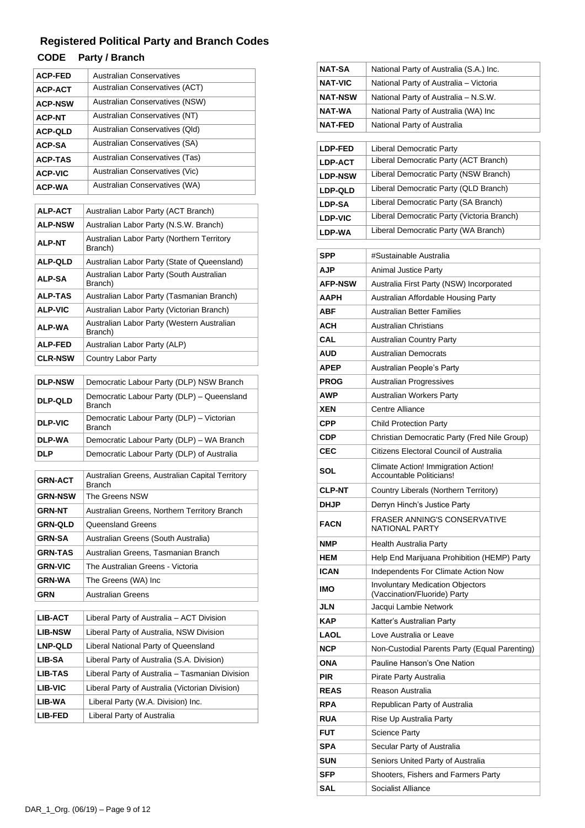# **Registered Political Party and Branch Codes**

## **CODE Party / Branch**

| <b>ACP-FED</b> | Australian Conservatives              |
|----------------|---------------------------------------|
| <b>ACP-ACT</b> | Australian Conservatives (ACT)        |
| <b>ACP-NSW</b> | <b>Australian Conservatives (NSW)</b> |
| <b>ACP-NT</b>  | Australian Conservatives (NT)         |
| <b>ACP-QLD</b> | Australian Conservatives (Qld)        |
| <b>ACP-SA</b>  | Australian Conservatives (SA)         |
| <b>ACP-TAS</b> | Australian Conservatives (Tas)        |
| <b>ACP-VIC</b> | Australian Conservatives (Vic)        |
| <b>ACP-WA</b>  | Australian Conservatives (WA)         |

| <b>ALP-ACT</b> | Australian Labor Party (ACT Branch)                   |  |  |  |  |
|----------------|-------------------------------------------------------|--|--|--|--|
| <b>ALP-NSW</b> | Australian Labor Party (N.S.W. Branch)                |  |  |  |  |
| <b>ALP-NT</b>  | Australian Labor Party (Northern Territory<br>Branch) |  |  |  |  |
| <b>ALP-QLD</b> | Australian Labor Party (State of Queensland)          |  |  |  |  |
| <b>ALP-SA</b>  | Australian Labor Party (South Australian<br>Branch)   |  |  |  |  |
| <b>ALP-TAS</b> | Australian Labor Party (Tasmanian Branch)             |  |  |  |  |
| <b>ALP-VIC</b> | Australian Labor Party (Victorian Branch)             |  |  |  |  |
| <b>ALP-WA</b>  | Australian Labor Party (Western Australian<br>Branch) |  |  |  |  |
| <b>ALP-FED</b> | Australian Labor Party (ALP)                          |  |  |  |  |
| <b>CLR-NSW</b> | Country Labor Party                                   |  |  |  |  |

| <b>DLP-NSW</b> | Democratic Labour Party (DLP) NSW Branch                    |
|----------------|-------------------------------------------------------------|
| <b>DLP-QLD</b> | Democratic Labour Party (DLP) - Queensland<br><b>Branch</b> |
| <b>DLP-VIC</b> | Democratic Labour Party (DLP) - Victorian<br><b>Branch</b>  |
| DLP-WA         | Democratic Labour Party (DLP) - WA Branch                   |
| <b>DLP</b>     | Democratic Labour Party (DLP) of Australia                  |

| <b>GRN-ACT</b> | Australian Greens, Australian Capital Territory<br><b>Branch</b> |
|----------------|------------------------------------------------------------------|
| <b>GRN-NSW</b> | The Greens NSW                                                   |
| <b>GRN-NT</b>  | Australian Greens, Northern Territory Branch                     |
| <b>GRN-QLD</b> | Queensland Greens                                                |
| <b>GRN-SA</b>  | Australian Greens (South Australia)                              |
| <b>GRN-TAS</b> | Australian Greens. Tasmanian Branch                              |
| <b>GRN-VIC</b> | The Australian Greens - Victoria                                 |
| <b>GRN-WA</b>  | The Greens (WA) Inc                                              |
| <b>GRN</b>     | <b>Australian Greens</b>                                         |
|                |                                                                  |

| <b>LIB-ACT</b> | Liberal Party of Australia - ACT Division       |  |  |  |
|----------------|-------------------------------------------------|--|--|--|
| <b>LIB-NSW</b> | Liberal Party of Australia, NSW Division        |  |  |  |
| <b>LNP-QLD</b> | Liberal National Party of Queensland            |  |  |  |
| LIB-SA         | Liberal Party of Australia (S.A. Division)      |  |  |  |
| <b>LIB-TAS</b> | Liberal Party of Australia - Tasmanian Division |  |  |  |
| LIB-VIC        | Liberal Party of Australia (Victorian Division) |  |  |  |
| LIB-WA         | Liberal Party (W.A. Division) Inc.              |  |  |  |
| LIB-FED        | Liberal Party of Australia                      |  |  |  |

| <b>NAT-SA</b>  | National Party of Australia (S.A.) Inc.                                 |  |  |  |  |
|----------------|-------------------------------------------------------------------------|--|--|--|--|
| <b>NAT-VIC</b> | National Party of Australia - Victoria                                  |  |  |  |  |
| <b>NAT-NSW</b> | National Party of Australia - N.S.W.                                    |  |  |  |  |
| NAT-WA         | National Party of Australia (WA) Inc                                    |  |  |  |  |
| <b>NAT-FED</b> | National Party of Australia                                             |  |  |  |  |
|                |                                                                         |  |  |  |  |
| <b>LDP-FED</b> | <b>Liberal Democratic Party</b>                                         |  |  |  |  |
| <b>LDP-ACT</b> | Liberal Democratic Party (ACT Branch)                                   |  |  |  |  |
| <b>LDP-NSW</b> | Liberal Democratic Party (NSW Branch)                                   |  |  |  |  |
| <b>LDP-QLD</b> | Liberal Democratic Party (QLD Branch)                                   |  |  |  |  |
| <b>LDP-SA</b>  | Liberal Democratic Party (SA Branch)                                    |  |  |  |  |
| <b>LDP-VIC</b> | Liberal Democratic Party (Victoria Branch)                              |  |  |  |  |
| <b>LDP-WA</b>  | Liberal Democratic Party (WA Branch)                                    |  |  |  |  |
| <b>SPP</b>     | #Sustainable Australia                                                  |  |  |  |  |
| AJP            | Animal Justice Party                                                    |  |  |  |  |
| <b>AFP-NSW</b> | Australia First Party (NSW) Incorporated                                |  |  |  |  |
| AAPH           | Australian Affordable Housing Party                                     |  |  |  |  |
| ABF            | <b>Australian Better Families</b>                                       |  |  |  |  |
| ACH            | <b>Australian Christians</b>                                            |  |  |  |  |
| CAL            | <b>Australian Country Party</b>                                         |  |  |  |  |
| AUD            | <b>Australian Democrats</b>                                             |  |  |  |  |
| APEP           | Australian People's Party                                               |  |  |  |  |
| <b>PROG</b>    | Australian Progressives                                                 |  |  |  |  |
| <b>AWP</b>     | Australian Workers Party                                                |  |  |  |  |
| XEN            | <b>Centre Alliance</b>                                                  |  |  |  |  |
| CPP            | <b>Child Protection Party</b>                                           |  |  |  |  |
| CDP            | Christian Democratic Party (Fred Nile Group)                            |  |  |  |  |
| CEC            | Citizens Electoral Council of Australia                                 |  |  |  |  |
| SOL            | Climate Action! Immigration Action!<br>Accountable Politicians!         |  |  |  |  |
| <b>CLP-NT</b>  | Country Liberals (Northern Territory)                                   |  |  |  |  |
| <b>DHJP</b>    | Derryn Hinch's Justice Party                                            |  |  |  |  |
| <b>FACN</b>    | <b>FRASER ANNING'S CONSERVATIVE</b><br><b>NATIONAL PARTY</b>            |  |  |  |  |
| <b>NMP</b>     | Health Australia Party                                                  |  |  |  |  |
| HEM            | Help End Marijuana Prohibition (HEMP) Party                             |  |  |  |  |
| <b>ICAN</b>    | Independents For Climate Action Now                                     |  |  |  |  |
| IMO            | <b>Involuntary Medication Objectors</b><br>(Vaccination/Fluoride) Party |  |  |  |  |
| <b>JLN</b>     | Jacqui Lambie Network                                                   |  |  |  |  |
| <b>KAP</b>     | Katter's Australian Party                                               |  |  |  |  |
| LAOL           | Love Australia or Leave                                                 |  |  |  |  |
| <b>NCP</b>     | Non-Custodial Parents Party (Equal Parenting)                           |  |  |  |  |
| ONA            | Pauline Hanson's One Nation                                             |  |  |  |  |
| PIR            | Pirate Party Australia                                                  |  |  |  |  |
| <b>REAS</b>    | Reason Australia                                                        |  |  |  |  |
| <b>RPA</b>     | Republican Party of Australia                                           |  |  |  |  |
| <b>RUA</b>     | Rise Up Australia Party                                                 |  |  |  |  |
| FUT            | Science Party                                                           |  |  |  |  |
| <b>SPA</b>     | Secular Party of Australia                                              |  |  |  |  |
| SUN            | Seniors United Party of Australia                                       |  |  |  |  |
| SFP            | Shooters, Fishers and Farmers Party                                     |  |  |  |  |
| <b>SAL</b>     | Socialist Alliance                                                      |  |  |  |  |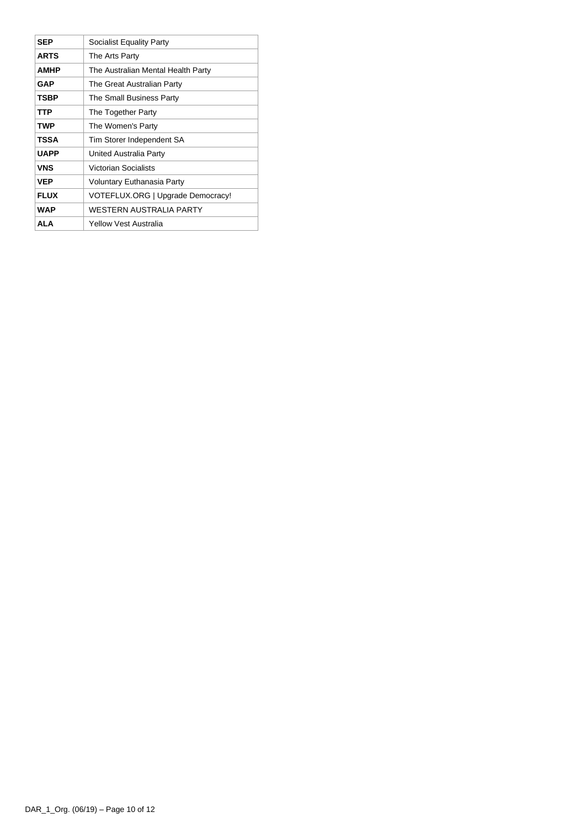| <b>SEP</b>  | Socialist Equality Party           |  |  |
|-------------|------------------------------------|--|--|
| <b>ARTS</b> | The Arts Party                     |  |  |
| <b>AMHP</b> | The Australian Mental Health Party |  |  |
| <b>GAP</b>  | The Great Australian Party         |  |  |
| <b>TSBP</b> | The Small Business Party           |  |  |
| TTP         | The Together Party                 |  |  |
| <b>TWP</b>  | The Women's Party                  |  |  |
| <b>TSSA</b> | Tim Storer Independent SA          |  |  |
| <b>UAPP</b> | United Australia Party             |  |  |
| <b>VNS</b>  | <b>Victorian Socialists</b>        |  |  |
| <b>VEP</b>  | Voluntary Euthanasia Party         |  |  |
| <b>FLUX</b> | VOTEFLUX.ORG   Upgrade Democracy!  |  |  |
| <b>WAP</b>  | WESTERN AUSTRALIA PARTY            |  |  |
| ALA         | Yellow Vest Australia              |  |  |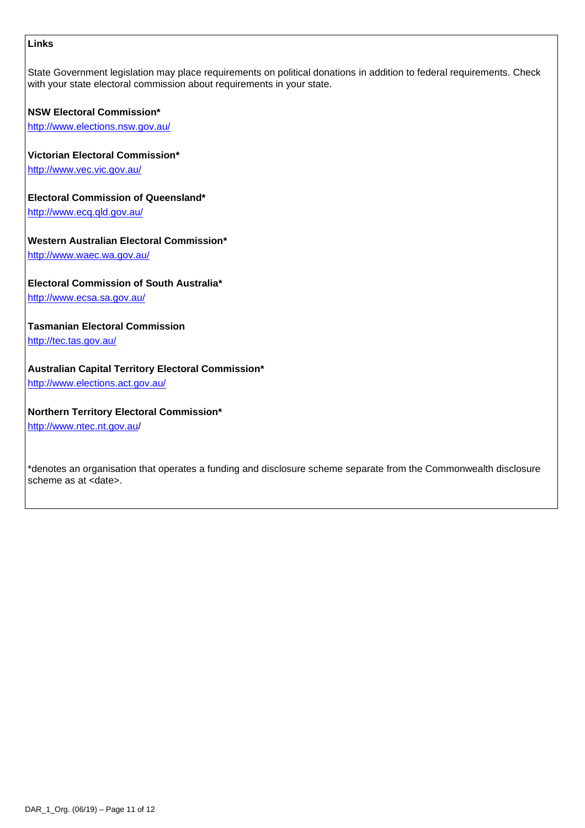### **Links**

State Government legislation may place requirements on political donations in addition to federal requirements. Check with your state electoral commission about requirements in your state.

### **NSW Electoral Commission\***

<http://www.elections.nsw.gov.au/>

### **Victorian Electoral Commission\***

<http://www.vec.vic.gov.au/>

### **Electoral Commission of Queensland\***

<http://www.ecq.qld.gov.au/>

### **Western Australian Electoral Commission\***

<http://www.waec.wa.gov.au/>

### **Electoral Commission of South Australia\***

<http://www.ecsa.sa.gov.au/>

### **Tasmanian Electoral Commission**

<http://tec.tas.gov.au/>

### **Australian Capital Territory Electoral Commission\***

<http://www.elections.act.gov.au/>

### **Northern Territory Electoral Commission\***

<http://www.ntec.nt.gov.au/>

\*denotes an organisation that operates a funding and disclosure scheme separate from the Commonwealth disclosure scheme as at <date>.